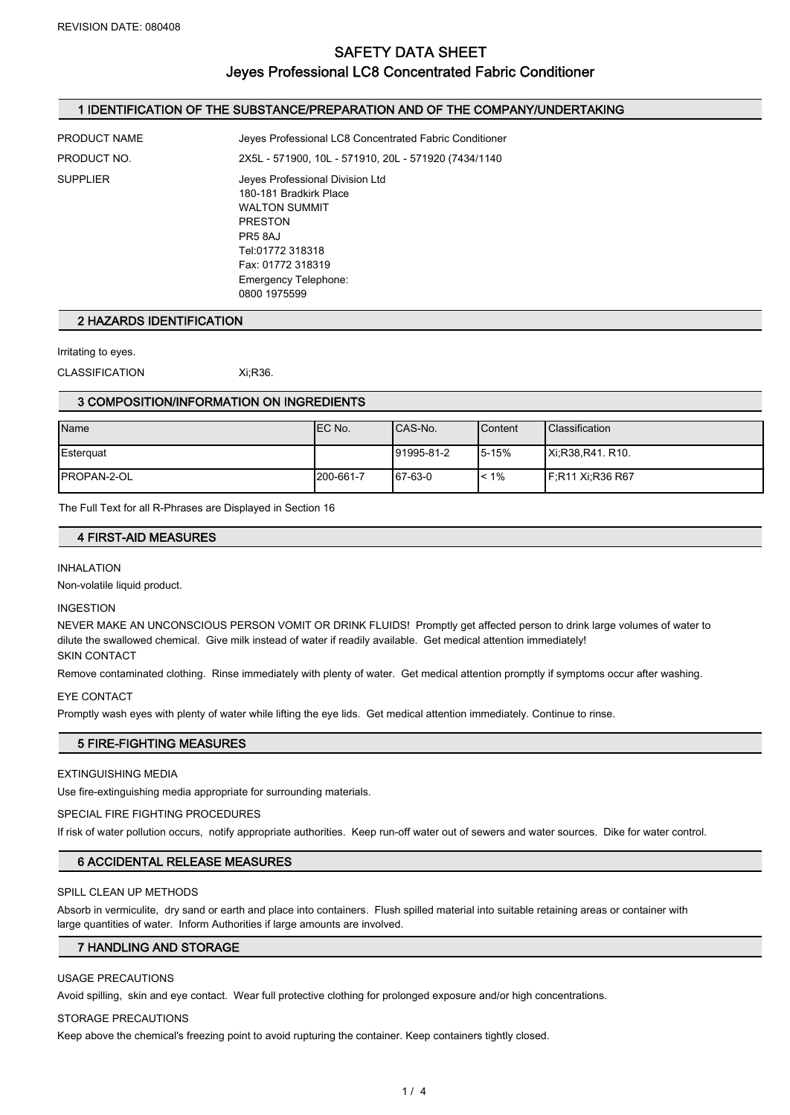## SAFETY DATA SHEET Jeyes Professional LC8 Concentrated Fabric Conditioner

## 1 IDENTIFICATION OF THE SUBSTANCE/PREPARATION AND OF THE COMPANY/UNDERTAKING

| PRODUCT NAME | Jeyes Professional LC8 Concentrated Fabric Conditioner                                                                                                                                          |  |
|--------------|-------------------------------------------------------------------------------------------------------------------------------------------------------------------------------------------------|--|
| PRODUCT NO.  | 2X5L - 571900, 10L - 571910, 20L - 571920 (7434/1140                                                                                                                                            |  |
| SUPPLIER     | Jeyes Professional Division Ltd<br>180-181 Bradkirk Place<br><b>WALTON SUMMIT</b><br><b>PRESTON</b><br>PR5 8AJ<br>Tel:01772 318318<br>Fax: 01772 318319<br>Emergency Telephone:<br>0800 1975599 |  |
|              |                                                                                                                                                                                                 |  |

#### 2 HAZARDS IDENTIFICATION

Irritating to eyes.

CLASSIFICATION Xi;R36.

#### 3 COMPOSITION/INFORMATION ON INGREDIENTS

| Name                | IEC No.   | ICAS-No.    | Content   | <b>Classification</b>    |
|---------------------|-----------|-------------|-----------|--------------------------|
| Esterguat           |           | 191995-81-2 | 5-15%     | IXi:R38.R41, R10.        |
| <b>IPROPAN-2-OL</b> | 200-661-7 | 67-63-0     | $1 < 1\%$ | <b>IF:R11 Xi:R36 R67</b> |

The Full Text for all R-Phrases are Displayed in Section 16

#### 4 FIRST-AID MEASURES

#### INHALATION

Non-volatile liquid product.

#### INGESTION

NEVER MAKE AN UNCONSCIOUS PERSON VOMIT OR DRINK FLUIDS! Promptly get affected person to drink large volumes of water to dilute the swallowed chemical. Give milk instead of water if readily available. Get medical attention immediately! SKIN CONTACT

Remove contaminated clothing. Rinse immediately with plenty of water. Get medical attention promptly if symptoms occur after washing.

#### EYE CONTACT

Promptly wash eyes with plenty of water while lifting the eye lids. Get medical attention immediately. Continue to rinse.

### 5 FIRE-FIGHTING MEASURES

#### EXTINGUISHING MEDIA

Use fire-extinguishing media appropriate for surrounding materials.

#### SPECIAL FIRE FIGHTING PROCEDURES

If risk of water pollution occurs, notify appropriate authorities. Keep run-off water out of sewers and water sources. Dike for water control.

#### 6 ACCIDENTAL RELEASE MEASURES

#### SPILL CLEAN UP METHODS

Absorb in vermiculite, dry sand or earth and place into containers. Flush spilled material into suitable retaining areas or container with large quantities of water. Inform Authorities if large amounts are involved.

#### 7 HANDLING AND STORAGE

#### USAGE PRECAUTIONS

Avoid spilling, skin and eye contact. Wear full protective clothing for prolonged exposure and/or high concentrations.

#### STORAGE PRECAUTIONS

Keep above the chemical's freezing point to avoid rupturing the container. Keep containers tightly closed.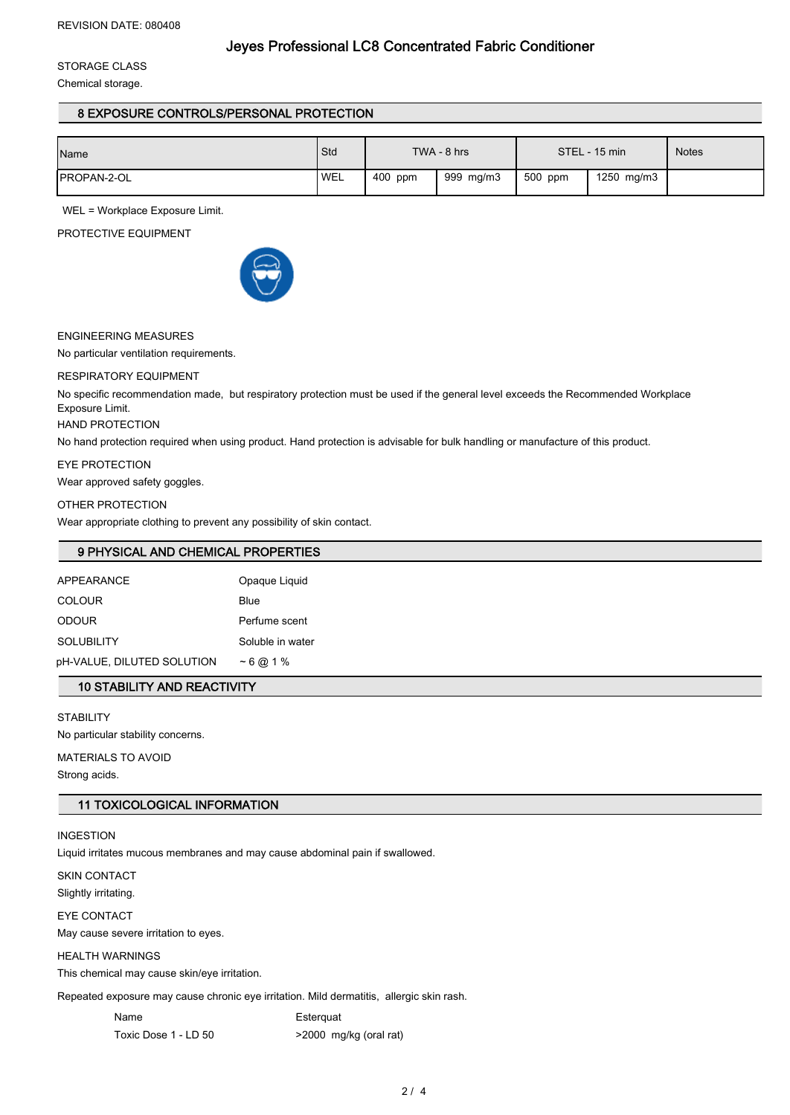## Jeyes Professional LC8 Concentrated Fabric Conditioner

STORAGE CLASS

Chemical storage.

## 8 EXPOSURE CONTROLS/PERSONAL PROTECTION

| Name                | Std        | TWA - 8 hrs |           | STEL - 15 min |            | <b>Notes</b> |
|---------------------|------------|-------------|-----------|---------------|------------|--------------|
| <b>IPROPAN-2-OL</b> | <b>WEL</b> | 400 ppm     | 999 mg/m3 | 500 ppm       | 1250 mg/m3 |              |

WEL = Workplace Exposure Limit.

PROTECTIVE EQUIPMENT



#### ENGINEERING MEASURES

No particular ventilation requirements.

#### RESPIRATORY EQUIPMENT

No specific recommendation made, but respiratory protection must be used if the general level exceeds the Recommended Workplace Exposure Limit.

## HAND PROTECTION

No hand protection required when using product. Hand protection is advisable for bulk handling or manufacture of this product.

#### EYE PROTECTION

Wear approved safety goggles.

#### OTHER PROTECTION

Wear appropriate clothing to prevent any possibility of skin contact.

## 9 PHYSICAL AND CHEMICAL PROPERTIES

| <b>APPEARANCE</b>          | Opaque Liquid    |
|----------------------------|------------------|
| <b>COLOUR</b>              | <b>Blue</b>      |
| <b>ODOUR</b>               | Perfume scent    |
| <b>SOLUBILITY</b>          | Soluble in water |
| pH-VALUE, DILUTED SOLUTION | $~1\%$           |
|                            |                  |

## 10 STABILITY AND REACTIVITY

**STABILITY** No particular stability concerns. MATERIALS TO AVOID Strong acids.

## 11 TOXICOLOGICAL INFORMATION

#### INGESTION

Liquid irritates mucous membranes and may cause abdominal pain if swallowed.

SKIN CONTACT

Slightly irritating.

EYE CONTACT

May cause severe irritation to eyes.

## HEALTH WARNINGS

This chemical may cause skin/eye irritation.

Repeated exposure may cause chronic eye irritation. Mild dermatitis, allergic skin rash.

Name Esterquat

Toxic Dose 1 - LD 50 >2000 mg/kg (oral rat)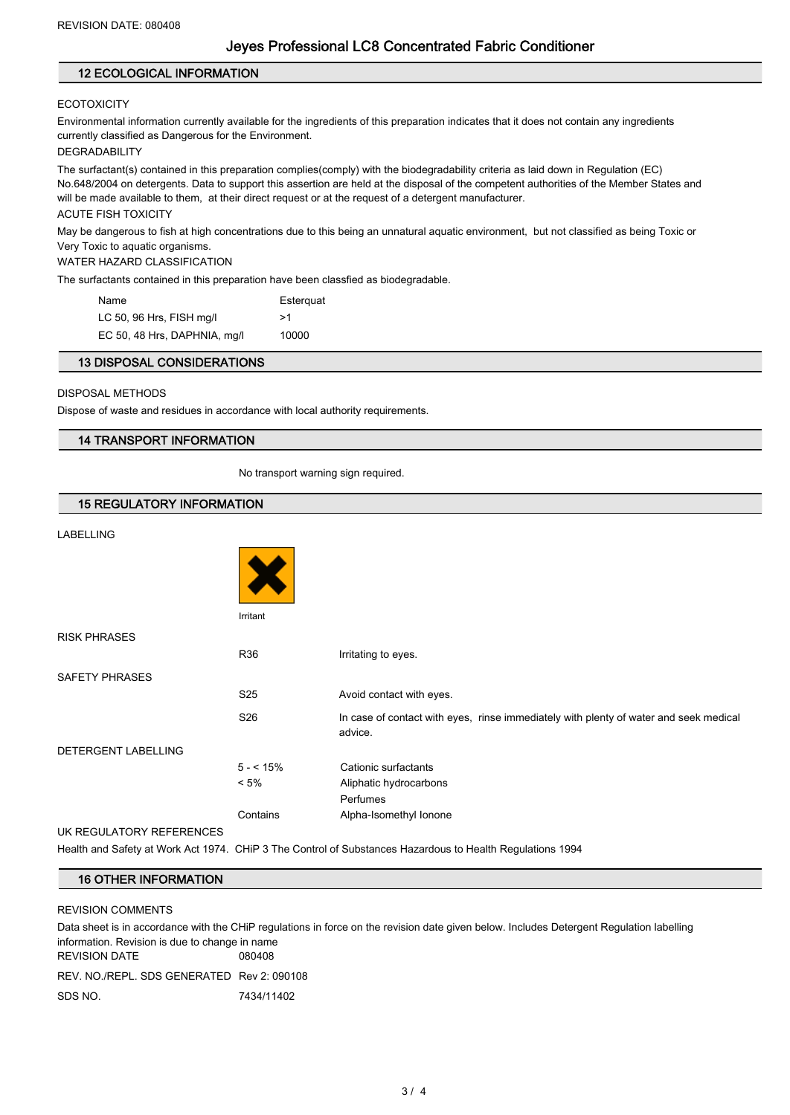#### 12 ECOLOGICAL INFORMATION

#### **ECOTOXICITY**

Environmental information currently available for the ingredients of this preparation indicates that it does not contain any ingredients currently classified as Dangerous for the Environment.

#### DEGRADABILITY

The surfactant(s) contained in this preparation complies(comply) with the biodegradability criteria as laid down in Regulation (EC) No.648/2004 on detergents. Data to support this assertion are held at the disposal of the competent authorities of the Member States and will be made available to them, at their direct request or at the request of a detergent manufacturer.

#### ACUTE FISH TOXICITY

May be dangerous to fish at high concentrations due to this being an unnatural aquatic environment, but not classified as being Toxic or Very Toxic to aquatic organisms.

#### WATER HAZARD CLASSIFICATION

The surfactants contained in this preparation have been classfied as biodegradable.

| Name                         | Esterguat |
|------------------------------|-----------|
| LC 50, 96 Hrs, FISH mg/l     | >1        |
| EC 50, 48 Hrs, DAPHNIA, mg/l | 10000     |

#### 13 DISPOSAL CONSIDERATIONS

#### DISPOSAL METHODS

Dispose of waste and residues in accordance with local authority requirements.

### 14 TRANSPORT INFORMATION

No transport warning sign required.

## 15 REGULATORY INFORMATION

## LABELLING

| LADLLLING                |                 |                                                                                                  |
|--------------------------|-----------------|--------------------------------------------------------------------------------------------------|
|                          |                 |                                                                                                  |
|                          | Irritant        |                                                                                                  |
| <b>RISK PHRASES</b>      |                 |                                                                                                  |
|                          | <b>R36</b>      | Irritating to eyes.                                                                              |
| <b>SAFETY PHRASES</b>    |                 |                                                                                                  |
|                          | S <sub>25</sub> | Avoid contact with eyes.                                                                         |
|                          | S <sub>26</sub> | In case of contact with eyes, rinse immediately with plenty of water and seek medical<br>advice. |
| DETERGENT LABELLING      |                 |                                                                                                  |
|                          | $5 - 15%$       | Cationic surfactants                                                                             |
|                          | $< 5\%$         | Aliphatic hydrocarbons                                                                           |
|                          |                 | Perfumes                                                                                         |
|                          | Contains        | Alpha-Isomethyl Ionone                                                                           |
| UK REGULATORY REFERENCES |                 |                                                                                                  |

Health and Safety at Work Act 1974. CHiP 3 The Control of Substances Hazardous to Health Regulations 1994

## 16 OTHER INFORMATION

#### REVISION COMMENTS

Data sheet is in accordance with the CHiP regulations in force on the revision date given below. Includes Detergent Regulation labelling information. Revision is due to change in name REVISION DATE 080408 REV. NO./REPL. SDS GENERATED Rev 2: 090108

SDS NO. 2434/11402